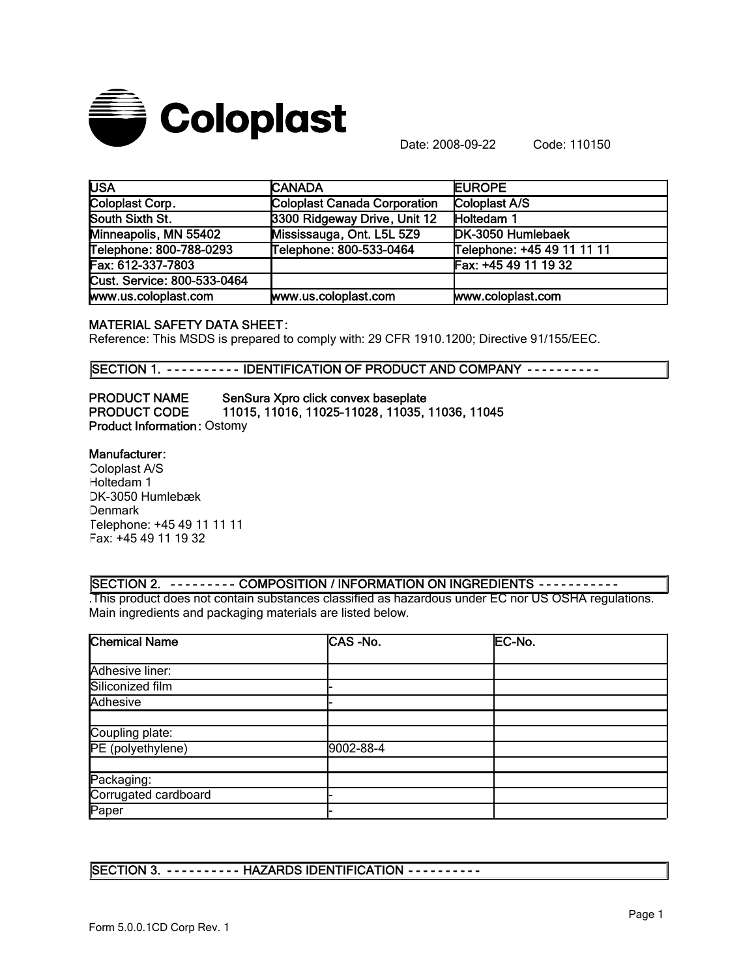

Date: 2008-09-22 Code: 110150

| <b>USA</b>                  | <b>CANADA</b>                | <b>EUROPE</b>              |  |
|-----------------------------|------------------------------|----------------------------|--|
| Coloplast Corp.             | Coloplast Canada Corporation | Coloplast A/S              |  |
| South Sixth St.             | 3300 Ridgeway Drive, Unit 12 | Holtedam 1                 |  |
| Minneapolis, MN 55402       | Mississauga, Ont. L5L 5Z9    | DK-3050 Humlebaek          |  |
| Telephone: 800-788-0293     | Telephone: 800-533-0464      | Telephone: +45 49 11 11 11 |  |
| Fax: 612-337-7803           |                              | Fax: +45 49 11 19 32       |  |
| Cust. Service: 800-533-0464 |                              |                            |  |
| www.us.coloplast.com        | www.us.coloplast.com         | www.coloplast.com          |  |

#### MATERIAL SAFETY DATA SHEET:

Reference: This MSDS is prepared to comply with: 29 CFR 1910.1200; Directive 91/155/EEC.

SECTION 1. - - - - - - - - - IDENTIFICATION OF PRODUCT AND COMPANY - - - - - - - - - -

PRODUCT NAME SenSura Xpro click convex baseplate PRODUCT CODE 11015, 11016, 11025-11028, 11035, 11036, 11045 Product Information: Ostomy

#### Manufacturer:

Coloplast A/S Holtedam 1 DK-3050 Humlebæk **Denmark** Telephone: +45 49 11 11 11 Fax: +45 49 11 19 32

## SECTION 2. - - - - - - - - - COMPOSITION / INFORMATION ON INGREDIENTS - - - - - - - - - - -

.This product does not contain substances classified as hazardous under EC nor US OSHA regulations. Main ingredients and packaging materials are listed below.

| <b>Chemical Name</b> | CAS-No.   | EC-No. |
|----------------------|-----------|--------|
|                      |           |        |
| Adhesive liner:      |           |        |
| Siliconized film     |           |        |
| Adhesive             |           |        |
|                      |           |        |
| Coupling plate:      |           |        |
| PE (polyethylene)    | 9002-88-4 |        |
|                      |           |        |
| Packaging:           |           |        |
| Corrugated cardboard |           |        |
| Paper                |           |        |

SECTION 3. - - - - - - - - - - HAZARDS IDENTIFICATION - - - - - - - - - -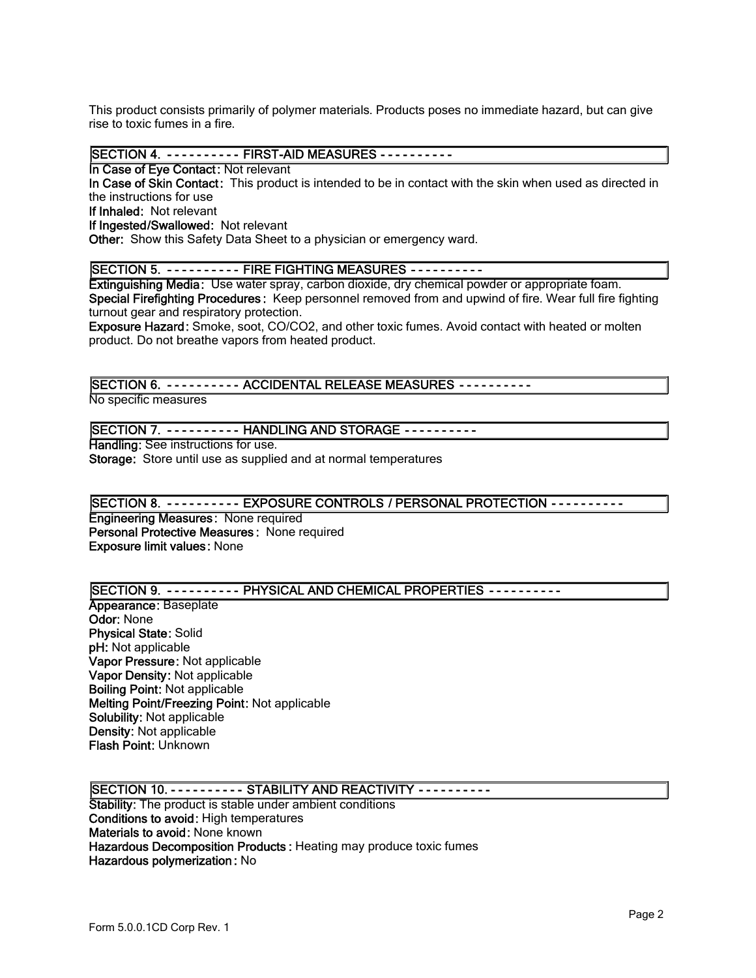This product consists primarily of polymer materials. Products poses no immediate hazard, but can give rise to toxic fumes in a fire.

SECTION 4. - - - - - - - - - FIRST-AID MEASURES - - - - - - - - - -

In Case of Eye Contact: Not relevant

In Case of Skin Contact: This product is intended to be in contact with the skin when used as directed in the instructions for use

If Inhaled: Not relevant

If Ingested/Swallowed: Not relevant

Other: Show this Safety Data Sheet to a physician or emergency ward.

# SECTION 5. - - - - - - - - - FIRE FIGHTING MEASURES - - - - - - - - - -

Extinguishing Media: Use water spray, carbon dioxide, dry chemical powder or appropriate foam. Special Firefighting Procedures: Keep personnel removed from and upwind of fire. Wear full fire fighting turnout gear and respiratory protection.

Exposure Hazard: Smoke, soot, CO/CO2, and other toxic fumes. Avoid contact with heated or molten product. Do not breathe vapors from heated product.

# SECTION 6. - - - - - - - - - - ACCIDENTAL RELEASE MEASURES - - - - - - - - - -

No specific measures

#### SECTION 7. - - - - - - - - - - HANDLING AND STORAGE - - - - - - - - - -

Handling: See instructions for use. Storage: Store until use as supplied and at normal temperatures

## SECTION 8. - - - - - - - - - EXPOSURE CONTROLS / PERSONAL PROTECTION - - - - - - - - -

Engineering Measures: None required Personal Protective Measures : None required Exposure limit values: None

## SECTION 9. - - - - - - - - - PHYSICAL AND CHEMICAL PROPERTIES - - - - - - - - - -

Appearance: Baseplate Odor: None Physical State: Solid pH: Not applicable Vapor Pressure: Not applicable Vapor Density: Not applicable Boiling Point: Not applicable Melting Point/Freezing Point: Not applicable Solubility: Not applicable Density: Not applicable Flash Point: Unknown

## SECTION 10. - - - - - - - - - - STABILITY AND REACTIVITY - - - - - - - - - -

Stability: The product is stable under ambient conditions Conditions to avoid: High temperatures Materials to avoid: None known Hazardous Decomposition Products : Heating may produce toxic fumes Hazardous polymerization : No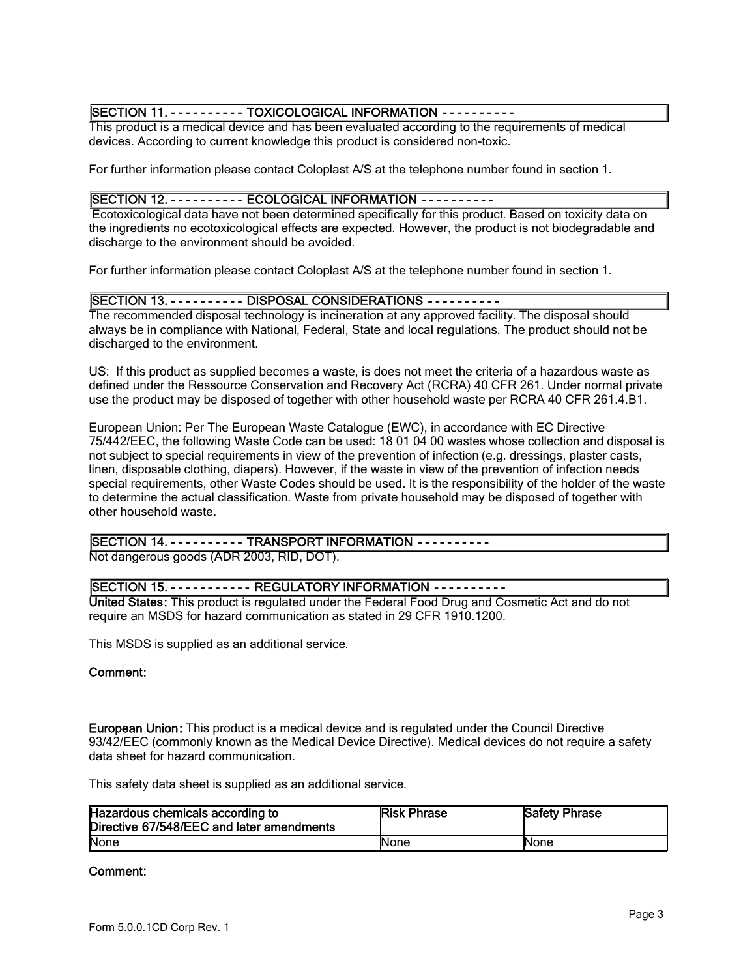## SECTION 11. - - - - - - - - - - TOXICOLOGICAL INFORMATION - - - - - - - - - -

This product is a medical device and has been evaluated according to the requirements of medical devices. According to current knowledge this product is considered non-toxic.

For further information please contact Coloplast A/S at the telephone number found in section 1.

## SECTION 12. - - - - - - - - - ECOLOGICAL INFORMATION - - - - - - - - - -

 Ecotoxicological data have not been determined specifically for this product. Based on toxicity data on the ingredients no ecotoxicological effects are expected. However, the product is not biodegradable and discharge to the environment should be avoided.

For further information please contact Coloplast A/S at the telephone number found in section 1.

## SECTION 13. - - - - - - - - - - DISPOSAL CONSIDERATIONS - - - - - - - - - -

The recommended disposal technology is incineration at any approved facility. The disposal should always be in compliance with National, Federal, State and local regulations. The product should not be discharged to the environment.

US: If this product as supplied becomes a waste, is does not meet the criteria of a hazardous waste as defined under the Ressource Conservation and Recovery Act (RCRA) 40 CFR 261. Under normal private use the product may be disposed of together with other household waste per RCRA 40 CFR 261.4.B1.

European Union: Per The European Waste Catalogue (EWC), in accordance with EC Directive 75/442/EEC, the following Waste Code can be used: 18 01 04 00 wastes whose collection and disposal is not subject to special requirements in view of the prevention of infection (e.g. dressings, plaster casts, linen, disposable clothing, diapers). However, if the waste in view of the prevention of infection needs special requirements, other Waste Codes should be used. It is the responsibility of the holder of the waste to determine the actual classification. Waste from private household may be disposed of together with other household waste.

# SECTION 14. - - - - - - - - - - TRANSPORT INFORMATION - - - - - - - - - -

Not dangerous goods (ADR 2003, RID, DOT).

## SECTION 15. - - - - - - - - - - - REGULATORY INFORMATION - - - - - - - - - -

United States: This product is regulated under the Federal Food Drug and Cosmetic Act and do not require an MSDS for hazard communication as stated in 29 CFR 1910.1200.

This MSDS is supplied as an additional service.

## Comment:

**European Union:** This product is a medical device and is regulated under the Council Directive 93/42/EEC (commonly known as the Medical Device Directive). Medical devices do not require a safety data sheet for hazard communication.

This safety data sheet is supplied as an additional service.

| Hazardous chemicals according to<br>Directive 67/548/EEC and later amendments | <b>Risk Phrase</b> | <b>Safety Phrase</b> |
|-------------------------------------------------------------------------------|--------------------|----------------------|
| None                                                                          | <b>None</b>        | <b>INone</b>         |

#### Comment: